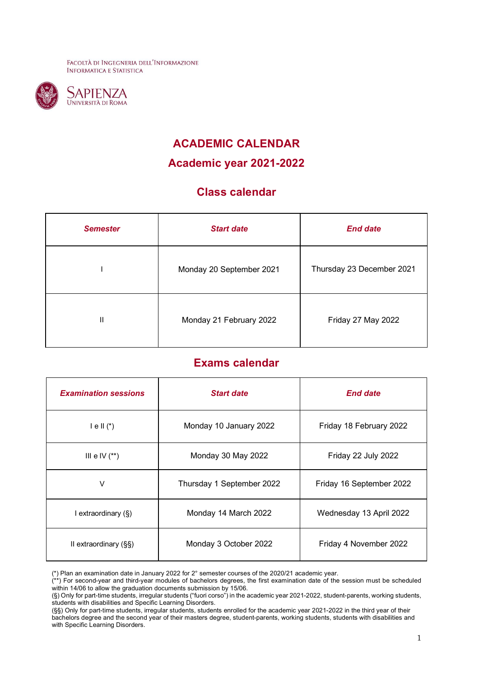FACOLTÀ DI INGEGNERIA DELL'INFORMAZIONE **INFORMATICA E STATISTICA** 



## **ACADEMIC CALENDAR**

**Academic year 2021-2022**

## **Class calendar**

| <b>Semester</b> | <b>Start date</b>        | <b>End date</b>           |
|-----------------|--------------------------|---------------------------|
|                 | Monday 20 September 2021 | Thursday 23 December 2021 |
| П               | Monday 21 February 2022  | Friday 27 May 2022        |

## **Exams calendar**

| <b>Examination sessions</b> | <b>Start date</b>         | <b>End date</b>          |
|-----------------------------|---------------------------|--------------------------|
| $I \in II$ $(*)$            | Monday 10 January 2022    | Friday 18 February 2022  |
| III e IV $(**)$             | Monday 30 May 2022        | Friday 22 July 2022      |
| V                           | Thursday 1 September 2022 | Friday 16 September 2022 |
| I extraordinary (§)         | Monday 14 March 2022      | Wednesday 13 April 2022  |
| II extraordinary (§§)       | Monday 3 October 2022     | Friday 4 November 2022   |

<sup>(\*)</sup> Plan an examination date in January 2022 for 2° semester courses of the 2020/21 academic year.

<sup>(\*\*)</sup> For second-year and third-year modules of bachelors degrees, the first examination date of the session must be scheduled within 14/06 to allow the graduation documents submission by 15/06.

<sup>(§)</sup> Only for part-time students, irregular students ("fuori corso") in the academic year 2021-2022, student-parents, working students, students with disabilities and Specific Learning Disorders.

<sup>(§§)</sup> Only for part-time students, irregular students, students enrolled for the academic year 2021-2022 in the third year of their bachelors degree and the second year of their masters degree, student-parents, working students, students with disabilities and with Specific Learning Disorders.